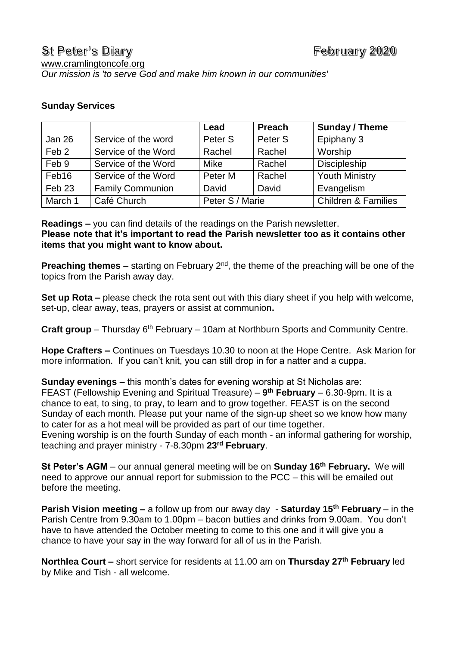## **Sunday Services**

|                   |                         | Lead               | <b>Preach</b> | Sunday / Theme                 |
|-------------------|-------------------------|--------------------|---------------|--------------------------------|
| Jan 26            | Service of the word     | Peter <sub>S</sub> | Peter S       | Epiphany 3                     |
| Feb <sub>2</sub>  | Service of the Word     | Rachel             | Rachel        | Worship                        |
| Feb 9             | Service of the Word     | Mike               | Rachel        | Discipleship                   |
| Feb16             | Service of the Word     | Peter M            | Rachel        | <b>Youth Ministry</b>          |
| Feb <sub>23</sub> | <b>Family Communion</b> | David              | David         | Evangelism                     |
| March 1           | Café Church             | Peter S / Marie    |               | <b>Children &amp; Families</b> |

**Readings –** you can find details of the readings on the Parish newsletter. **Please note that it's important to read the Parish newsletter too as it contains other items that you might want to know about.**

**Preaching themes** – starting on February 2<sup>nd</sup>, the theme of the preaching will be one of the topics from the Parish away day.

**Set up Rota –** please check the rota sent out with this diary sheet if you help with welcome, set-up, clear away, teas, prayers or assist at communion**.** 

Craft group - Thursday 6<sup>th</sup> February - 10am at Northburn Sports and Community Centre.

**Hope Crafters –** Continues on Tuesdays 10.30 to noon at the Hope Centre. Ask Marion for more information. If you can't knit, you can still drop in for a natter and a cuppa.

**Sunday evenings** – this month's dates for evening worship at St Nicholas are: FEAST (Fellowship Evening and Spiritual Treasure) – **9 th February** – 6.30-9pm. It is a chance to eat, to sing, to pray, to learn and to grow together. FEAST is on the second Sunday of each month. Please put your name of the sign-up sheet so we know how many to cater for as a hot meal will be provided as part of our time together. Evening worship is on the fourth Sunday of each month - an informal gathering for worship, teaching and prayer ministry - 7-8.30pm **23rd February**.

**St Peter's AGM** – our annual general meeting will be on **Sunday 16th February.** We will need to approve our annual report for submission to the PCC – this will be emailed out before the meeting.

**Parish Vision meeting –** a follow up from our away day - **Saturday 15th February** – in the Parish Centre from 9.30am to 1.00pm – bacon butties and drinks from 9.00am. You don't have to have attended the October meeting to come to this one and it will give you a chance to have your say in the way forward for all of us in the Parish.

**Northlea Court –** short service for residents at 11.00 am on **Thursday 27th February** led by Mike and Tish - all welcome.